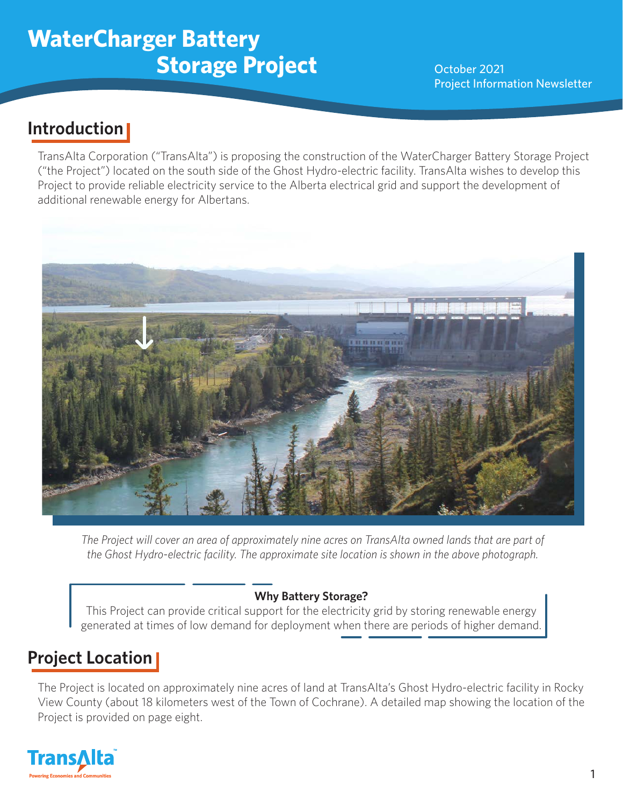## **WaterCharger Battery Storage Project** October 2021

Project Information Newsletter

## **Introduction**

TransAlta Corporation ("TransAlta") is proposing the construction of the WaterCharger Battery Storage Project ("the Project") located on the south side of the Ghost Hydro-electric facility. TransAlta wishes to develop this Project to provide reliable electricity service to the Alberta electrical grid and support the development of additional renewable energy for Albertans.



*The Project will cover an area of approximately nine acres on TransAlta owned lands that are part of the Ghost Hydro-electric facility. The approximate site location is shown in the above photograph.*

#### **Why Battery Storage?**

This Project can provide critical support for the electricity grid by storing renewable energy generated at times of low demand for deployment when there are periods of higher demand.

## **Project Location**

The Project is located on approximately nine acres of land at TransAlta's Ghost Hydro-electric facility in Rocky View County (about 18 kilometers west of the Town of Cochrane). A detailed map showing the location of the Project is provided on page eight.

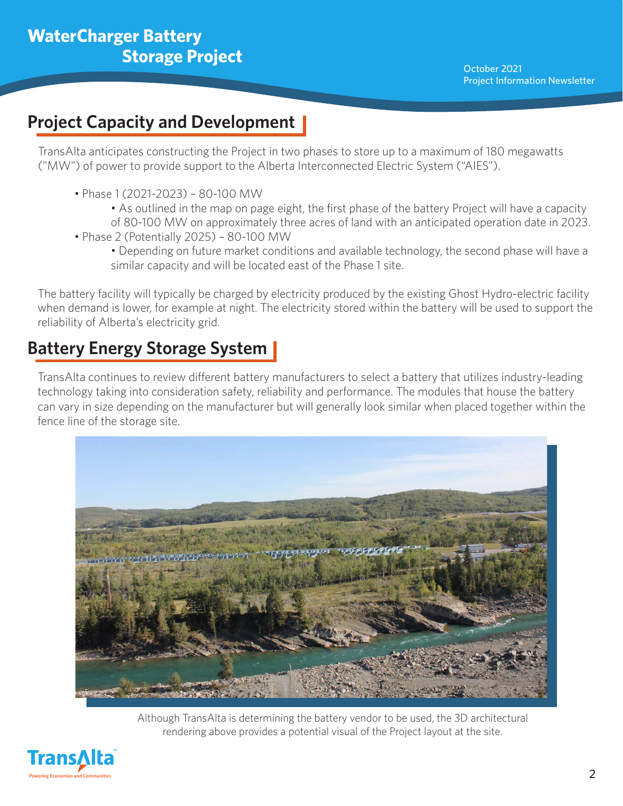### **Project Capacity and Development**

TransAlta anticipates constructing the Project in two phases to store up to a maximum of 180 megawatts ("MW") of power to provide support to the Alberta Interconnected Electric System ("AIES").

- Phase 1 (2021-2023) 80-100 MW
	- As outlined in the map on page eight, the first phase of the battery Project will have a capacity of 80-100 MW on approximately three acres of land with an anticipated operation date in 2023.
- Phase 2 (Potentially 2025) 80-100 MW
	- Depending on future market conditions and available technology, the second phase will have a similar capacity and will be located east of the Phase 1 site.

The battery facility will typically be charged by electricity produced by the existing Ghost Hydro-electric facility when demand is lower, for example at night. The electricity stored within the battery will be used to support the reliability of Alberta's electricity grid.

## **Battery Energy Storage System**

TransAlta continues to review different battery manufacturers to select a battery that utilizes industry-leading technology taking into consideration safety, reliability and performance. The modules that house the battery can vary in size depending on the manufacturer but will generally look similar when placed together within the fence line of the storage site.



Although TransAlta is determining the battery vendor to be used, the 3D architectural rendering above provides a potential visual of the Project layout at the site.

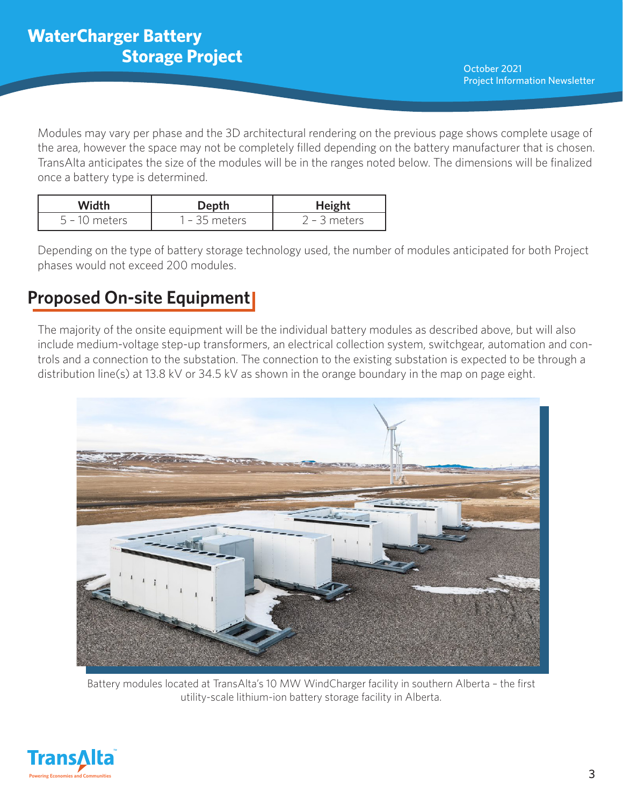Modules may vary per phase and the 3D architectural rendering on the previous page shows complete usage of the area, however the space may not be completely filled depending on the battery manufacturer that is chosen. TransAlta anticipates the size of the modules will be in the ranges noted below. The dimensions will be finalized once a battery type is determined.

| Width           | Depth           | <b>Height</b>  |  |
|-----------------|-----------------|----------------|--|
| $5 - 10$ meters | $1 - 35$ meters | $2 - 3$ meters |  |

Depending on the type of battery storage technology used, the number of modules anticipated for both Project phases would not exceed 200 modules.

## **Proposed On-site Equipment**

The majority of the onsite equipment will be the individual battery modules as described above, but will also include medium-voltage step-up transformers, an electrical collection system, switchgear, automation and controls and a connection to the substation. The connection to the existing substation is expected to be through a distribution line(s) at 13.8 kV or 34.5 kV as shown in the orange boundary in the map on page eight.



Battery modules located at TransAlta's 10 MW WindCharger facility in southern Alberta – the first utility-scale lithium-ion battery storage facility in Alberta.

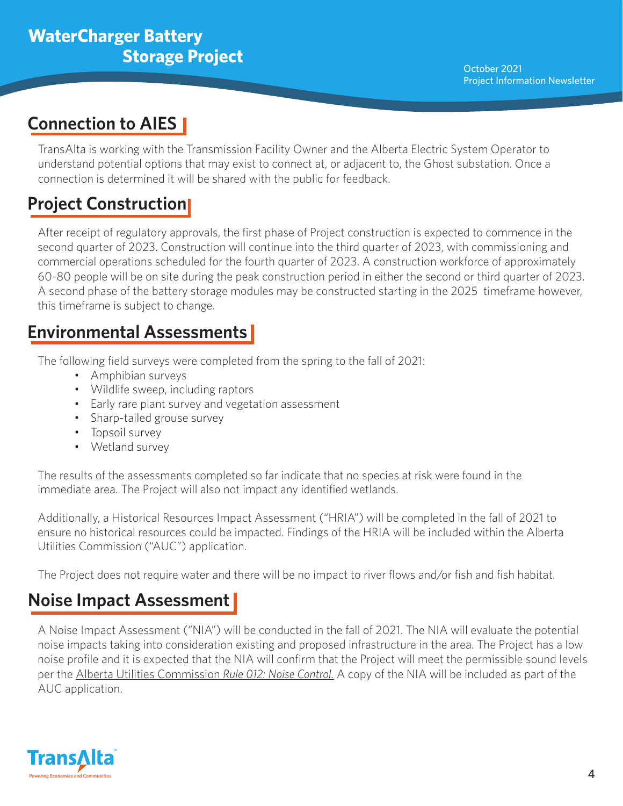## **Connection to AIES**

TransAlta is working with the Transmission Facility Owner and the Alberta Electric System Operator to understand potential options that may exist to connect at, or adjacent to, the Ghost substation. Once a connection is determined it will be shared with the public for feedback.

## **Project Construction**

After receipt of regulatory approvals, the first phase of Project construction is expected to commence in the second quarter of 2023. Construction will continue into the third quarter of 2023, with commissioning and commercial operations scheduled for the fourth quarter of 2023. A construction workforce of approximately 60-80 people will be on site during the peak construction period in either the second or third quarter of 2023. A second phase of the battery storage modules may be constructed starting in the 2025 timeframe however, this timeframe is subject to change.

## **Environmental Assessments**

The following field surveys were completed from the spring to the fall of 2021:

- Amphibian surveys
- Wildlife sweep, including raptors
- Early rare plant survey and vegetation assessment
- Sharp-tailed grouse survey
- Topsoil survey
- Wetland survey

The results of the assessments completed so far indicate that no species at risk were found in the immediate area. The Project will also not impact any identified wetlands.

Additionally, a Historical Resources Impact Assessment ("HRIA") will be completed in the fall of 2021 to ensure no historical resources could be impacted. Findings of the HRIA will be included within the Alberta Utilities Commission ("AUC") application.

The Project does not require water and there will be no impact to river flows and/or fish and fish habitat.

## **Noise Impact Assessment**

A Noise Impact Assessment ("NIA") will be conducted in the fall of 2021. The NIA will evaluate the potential noise impacts taking into consideration existing and proposed infrastructure in the area. The Project has a low noise profile and it is expected that the NIA will confirm that the Project will meet the permissible sound levels per the Alberta Utilities Commission *Rule 012: Noise Control.* A copy of the NIA will be included as part of the AUC application.

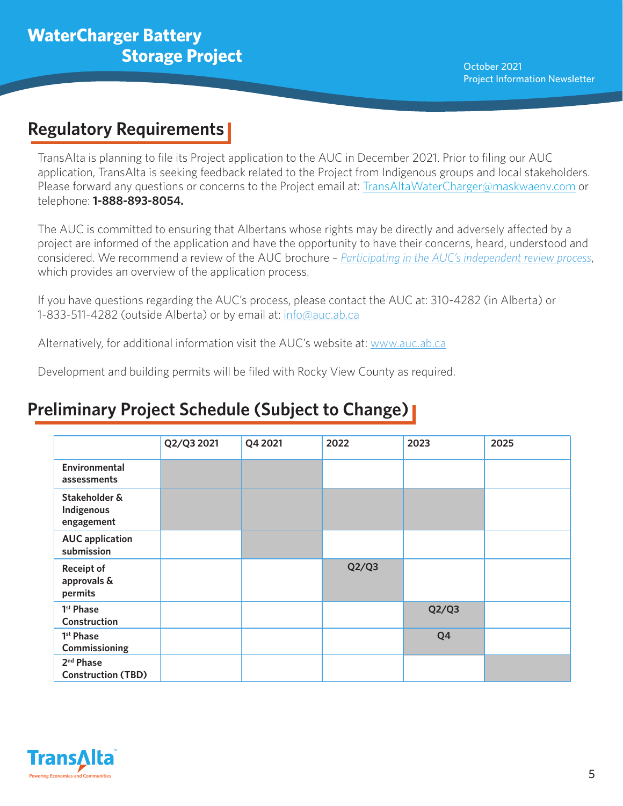### **Regulatory Requirements**

TransAlta is planning to file its Project application to the AUC in December 2021. Prior to filing our AUC application, TransAlta is seeking feedback related to the Project from Indigenous groups and local stakeholders. Please forward any questions or concerns to the Project email at: TransAltaWaterCharger@maskwaenv.com or telephone: **1-888-893-8054.**

The AUC is committed to ensuring that Albertans whose rights may be directly and adversely affected by a project are informed of the application and have the opportunity to have their concerns, heard, understood and considered. We recommend a review of the AUC brochure – *[Participating in the AUC's independent review process](https://www.auc.ab.ca/regulatory_documents/Reference/PublicInvolvementBrochure.pdf#search=Participating%20in%20the%20AUC%27s)*, which provides an overview of the application process.

If you have questions regarding the AUC's process, please contact the AUC at: 310-4282 (in Alberta) or 1-833-511-4282 (outside Alberta) or by email at: info@auc.ab.ca

Alternatively, for additional information visit the AUC's website at: www.auc.ab.ca

Development and building permits will be filed with Rocky View County as required.

## **Preliminary Project Schedule (Subject to Change)**

|                                                    | Q2/Q3 2021 | Q4 2021 | 2022  | 2023  | 2025 |
|----------------------------------------------------|------------|---------|-------|-------|------|
| Environmental<br>assessments                       |            |         |       |       |      |
| Stakeholder &<br>Indigenous<br>engagement          |            |         |       |       |      |
| <b>AUC</b> application<br>submission               |            |         |       |       |      |
| <b>Receipt of</b><br>approvals &<br>permits        |            |         | Q2/Q3 |       |      |
| 1 <sup>st</sup> Phase<br>Construction              |            |         |       | Q2/Q3 |      |
| 1 <sup>st</sup> Phase<br>Commissioning             |            |         |       | Q4    |      |
| 2 <sup>nd</sup> Phase<br><b>Construction (TBD)</b> |            |         |       |       |      |

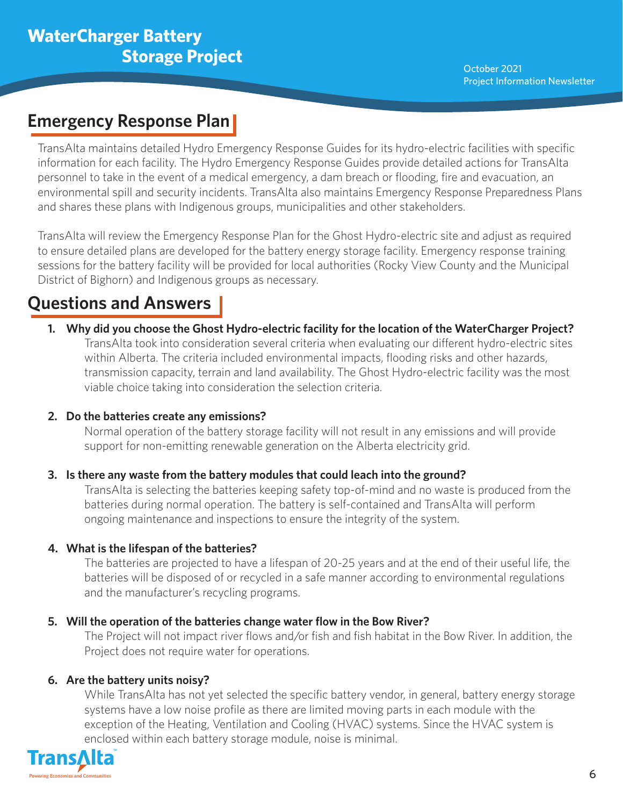### **Emergency Response Plan**

TransAlta maintains detailed Hydro Emergency Response Guides for its hydro-electric facilities with specific information for each facility. The Hydro Emergency Response Guides provide detailed actions for TransAlta personnel to take in the event of a medical emergency, a dam breach or flooding, fire and evacuation, an environmental spill and security incidents. TransAlta also maintains Emergency Response Preparedness Plans and shares these plans with Indigenous groups, municipalities and other stakeholders.

TransAlta will review the Emergency Response Plan for the Ghost Hydro-electric site and adjust as required to ensure detailed plans are developed for the battery energy storage facility. Emergency response training sessions for the battery facility will be provided for local authorities (Rocky View County and the Municipal District of Bighorn) and Indigenous groups as necessary.

## **Questions and Answers**

**1. Why did you choose the Ghost Hydro-electric facility for the location of the WaterCharger Project?** TransAlta took into consideration several criteria when evaluating our different hydro-electric sites within Alberta. The criteria included environmental impacts, flooding risks and other hazards, transmission capacity, terrain and land availability. The Ghost Hydro-electric facility was the most viable choice taking into consideration the selection criteria.

#### **2. Do the batteries create any emissions?**

Normal operation of the battery storage facility will not result in any emissions and will provide support for non-emitting renewable generation on the Alberta electricity grid.

#### **3. Is there any waste from the battery modules that could leach into the ground?**

TransAlta is selecting the batteries keeping safety top-of-mind and no waste is produced from the batteries during normal operation. The battery is self-contained and TransAlta will perform ongoing maintenance and inspections to ensure the integrity of the system.

#### **4. What is the lifespan of the batteries?**

The batteries are projected to have a lifespan of 20-25 years and at the end of their useful life, the batteries will be disposed of or recycled in a safe manner according to environmental regulations and the manufacturer's recycling programs.

#### **5. Will the operation of the batteries change water flow in the Bow River?**

The Project will not impact river flows and/or fish and fish habitat in the Bow River. In addition, the Project does not require water for operations.

#### **6. Are the battery units noisy?**

While TransAlta has not yet selected the specific battery vendor, in general, battery energy storage systems have a low noise profile as there are limited moving parts in each module with the exception of the Heating, Ventilation and Cooling (HVAC) systems. Since the HVAC system is enclosed within each battery storage module, noise is minimal.

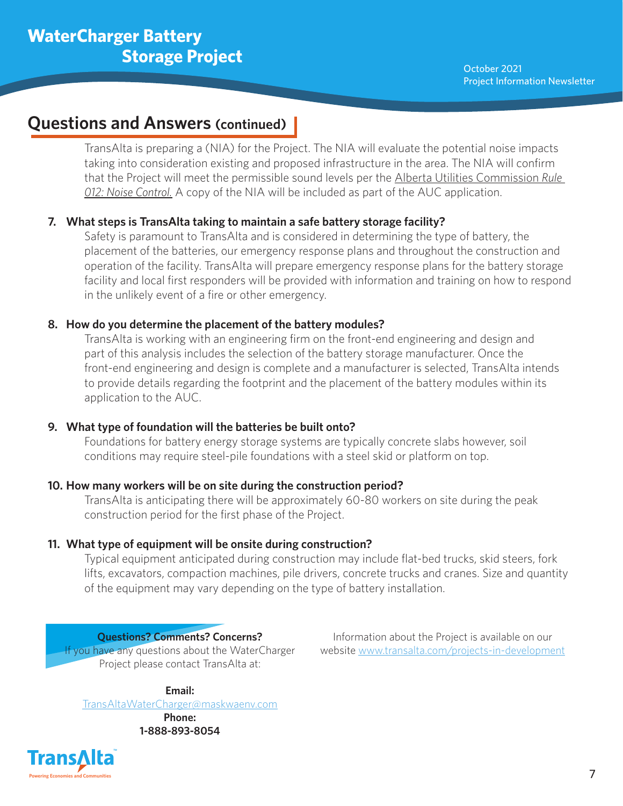#### **Questions and Answers (continued)**

TransAlta is preparing a (NIA) for the Project. The NIA will evaluate the potential noise impacts taking into consideration existing and proposed infrastructure in the area. The NIA will confirm that the Project will meet the permissible sound levels per the Alberta Utilities Commission *Rule 012: Noise Control.* A copy of the NIA will be included as part of the AUC application.

#### **7. What steps is TransAlta taking to maintain a safe battery storage facility?**

Safety is paramount to TransAlta and is considered in determining the type of battery, the placement of the batteries, our emergency response plans and throughout the construction and operation of the facility. TransAlta will prepare emergency response plans for the battery storage facility and local first responders will be provided with information and training on how to respond in the unlikely event of a fire or other emergency.

#### **8. How do you determine the placement of the battery modules?**

TransAlta is working with an engineering firm on the front-end engineering and design and part of this analysis includes the selection of the battery storage manufacturer. Once the front-end engineering and design is complete and a manufacturer is selected, TransAlta intends to provide details regarding the footprint and the placement of the battery modules within its application to the AUC.

#### **9. What type of foundation will the batteries be built onto?**

Foundations for battery energy storage systems are typically concrete slabs however, soil conditions may require steel-pile foundations with a steel skid or platform on top.

#### **10. How many workers will be on site during the construction period?**

TransAlta is anticipating there will be approximately 60-80 workers on site during the peak construction period for the first phase of the Project.

#### **11. What type of equipment will be onsite during construction?**

Typical equipment anticipated during construction may include flat-bed trucks, skid steers, fork lifts, excavators, compaction machines, pile drivers, concrete trucks and cranes. Size and quantity of the equipment may vary depending on the type of battery installation.

**Questions? Comments? Concerns?** If you have any questions about the WaterCharger Project please contact TransAlta at:

Information about the Project is available on our website www.transalta.com/projects-in-development

**Email:**

TransAltaWaterCharger@maskwaenv.com

**Phone: 1-888-893-8054**